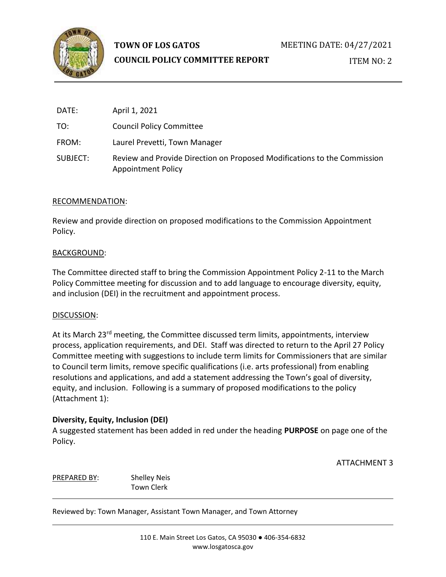

# **TOWN OF LOS GATOS**

## **COUNCIL POLICY COMMITTEE REPORT**

ITEM NO: 2

| DATE:    | April 1, 2021                                                                                         |
|----------|-------------------------------------------------------------------------------------------------------|
| TO:      | <b>Council Policy Committee</b>                                                                       |
| FROM:    | Laurel Prevetti, Town Manager                                                                         |
| SUBJECT: | Review and Provide Direction on Proposed Modifications to the Commission<br><b>Appointment Policy</b> |

## RECOMMENDATION:

Review and provide direction on proposed modifications to the Commission Appointment Policy.

## BACKGROUND:

The Committee directed staff to bring the Commission Appointment Policy 2-11 to the March Policy Committee meeting for discussion and to add language to encourage diversity, equity, and inclusion (DEI) in the recruitment and appointment process.

## DISCUSSION:

At its March 23<sup>rd</sup> meeting, the Committee discussed term limits, appointments, interview process, application requirements, and DEI. Staff was directed to return to the April 27 Policy Committee meeting with suggestions to include term limits for Commissioners that are similar to Council term limits, remove specific qualifications (i.e. arts professional) from enabling resolutions and applications, and add a statement addressing the Town's goal of diversity, equity, and inclusion. Following is a summary of proposed modifications to the policy (Attachment 1):

## **Diversity, Equity, Inclusion (DEI)**

A suggested statement has been added in red under the heading **PURPOSE** on page one of the Policy.

ATTACHMENT 3

PREPARED BY: Shelley Neis Town Clerk

Reviewed by: Town Manager, Assistant Town Manager, and Town Attorney